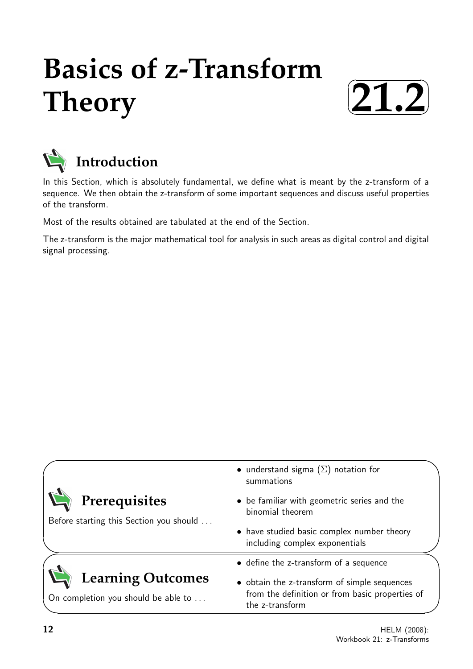# **Basics of z-Transform Theory**





In this Section, which is absolutely fundamental, we define what is meant by the z-transform of a sequence. We then obtain the z-transform of some important sequences and discuss useful properties of the transform.

Most of the results obtained are tabulated at the end of the Section.

The z-transform is the major mathematical tool for analysis in such areas as digital control and digital signal processing.

|                                                                 | • understand sigma $(\Sigma)$ notation for<br>summations                                                           |  |
|-----------------------------------------------------------------|--------------------------------------------------------------------------------------------------------------------|--|
| Prerequisites                                                   | • be familiar with geometric series and the<br>binomial theorem                                                    |  |
| Before starting this Section you should                         | • have studied basic complex number theory<br>including complex exponentials                                       |  |
|                                                                 | • define the z-transform of a sequence                                                                             |  |
| <b>Learning Outcomes</b><br>On completion you should be able to | • obtain the z-transform of simple sequences<br>from the definition or from basic properties of<br>the z-transform |  |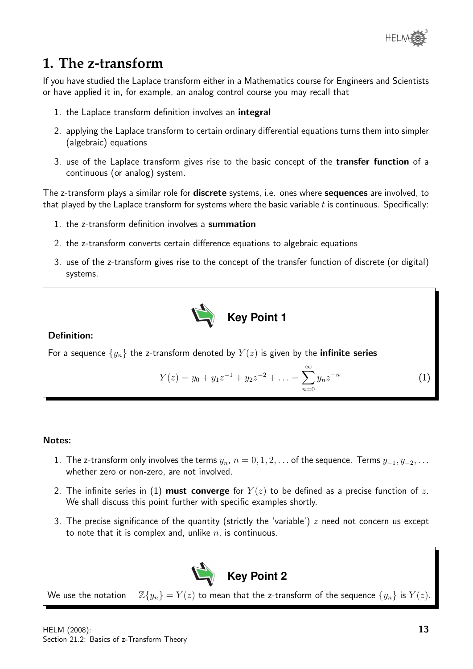

# **1. The z-transform**

If you have studied the Laplace transform either in a Mathematics course for Engineers and Scientists or have applied it in, for example, an analog control course you may recall that

- 1. the Laplace transform definition involves an integral
- 2. applying the Laplace transform to certain ordinary differential equations turns them into simpler (algebraic) equations
- 3. use of the Laplace transform gives rise to the basic concept of the **transfer function** of a continuous (or analog) system.

The z-transform plays a similar role for **discrete** systems, i.e. ones where **sequences** are involved, to that played by the Laplace transform for systems where the basic variable  $t$  is continuous. Specifically:

- 1. the z-transform definition involves a summation
- 2. the z-transform converts certain difference equations to algebraic equations
- 3. use of the z-transform gives rise to the concept of the transfer function of discrete (or digital) systems.



Definition:

For a sequence  $\{y_n\}$  the z-transform denoted by  $Y(z)$  is given by the **infinite series** 

$$
Y(z) = y_0 + y_1 z^{-1} + y_2 z^{-2} + \ldots = \sum_{n=0}^{\infty} y_n z^{-n}
$$
 (1)

#### Notes:

- 1. The z-transform only involves the terms  $y_n$ ,  $n = 0, 1, 2, \ldots$  of the sequence. Terms  $y_{-1}, y_{-2}, \ldots$ whether zero or non-zero, are not involved.
- 2. The infinite series in (1) must converge for  $Y(z)$  to be defined as a precise function of z. We shall discuss this point further with specific examples shortly.
- 3. The precise significance of the quantity (strictly the 'variable')  $z$  need not concern us except to note that it is complex and, unlike  $n$ , is continuous.



We use the notation  $\mathbb{Z}{y_n} = Y(z)$  to mean that the z-transform of the sequence  ${y_n}$  is  $Y(z)$ .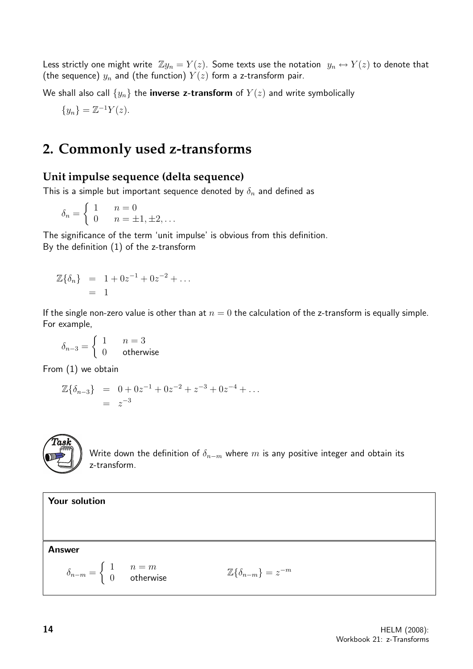Less strictly one might write  $\mathbb{Z}y_n = Y(z)$ . Some texts use the notation  $y_n \leftrightarrow Y(z)$  to denote that (the sequence)  $y_n$  and (the function)  $Y(z)$  form a z-transform pair.

We shall also call  $\{y_n\}$  the **inverse z-transform** of  $Y(z)$  and write symbolically

$$
\{y_n\} = \mathbb{Z}^{-1}Y(z).
$$

### **2. Commonly used z-transforms**

#### **Unit impulse sequence (delta sequence)**

This is a simple but important sequence denoted by  $\delta_n$  and defined as

$$
\delta_n = \begin{cases} 1 & n = 0 \\ 0 & n = \pm 1, \pm 2, \dots \end{cases}
$$

The significance of the term 'unit impulse' is obvious from this definition. By the definition (1) of the z-transform

$$
\mathbb{Z}{\delta_n} = 1 + 0z^{-1} + 0z^{-2} + \dots
$$
  
= 1

If the single non-zero value is other than at  $n = 0$  the calculation of the z-transform is equally simple. For example,

$$
\delta_{n-3} = \begin{cases} 1 & n = 3 \\ 0 & \text{otherwise} \end{cases}
$$

From (1) we obtain

$$
\mathbb{Z}{\delta_{n-3}} = 0 + 0z^{-1} + 0z^{-2} + z^{-3} + 0z^{-4} + \dots
$$
  
=  $z^{-3}$ 



Write down the definition of  $\delta_{n-m}$  where m is any positive integer and obtain its z-transform.

Your solution Answer  $\delta_{n-m} =$  $\begin{cases} 1 & n = m \\ 0 & \text{otherwise} \end{cases}$   $\mathbb{Z}\{\delta_{n-m}\} = z$  $\mathbb{Z}\{\delta_{n-m}\}=z^{-m}$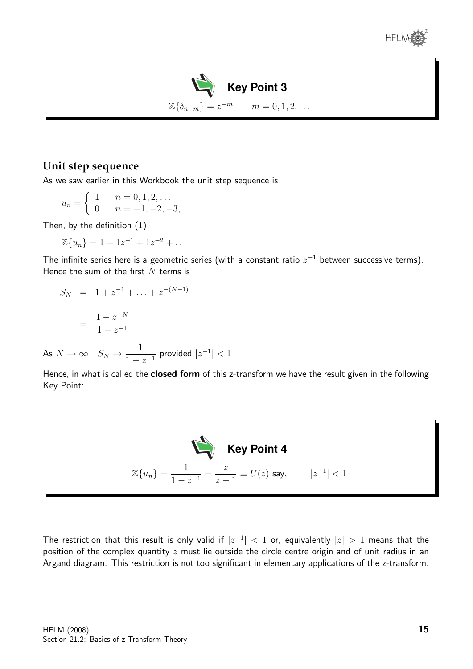



#### **Unit step sequence**

As we saw earlier in this Workbook the unit step sequence is

$$
u_n = \begin{cases} 1 & n = 0, 1, 2, \dots \\ 0 & n = -1, -2, -3, \dots \end{cases}
$$

Then, by the definition (1)

 $As$ 

 $\mathbb{Z}{u_n} = 1 + 1z^{-1} + 1z^{-2} + \dots$ 

The infinite series here is a geometric series (with a constant ratio  $z^{-1}$  between successive terms). Hence the sum of the first  $N$  terms is

$$
S_N = 1 + z^{-1} + \dots + z^{-(N-1)}
$$
  
= 
$$
\frac{1 - z^{-N}}{1 - z^{-1}}
$$
  

$$
N \to \infty \quad S_N \to \frac{1}{1 - z^{-1}} \text{ provided } |z^{-1}| < 1
$$

Hence, in what is called the **closed form** of this z-transform we have the result given in the following Key Point:



The restriction that this result is only valid if  $|z^{-1}| < 1$  or, equivalently  $|z| > 1$  means that the position of the complex quantity  $z$  must lie outside the circle centre origin and of unit radius in an Argand diagram. This restriction is not too significant in elementary applications of the z-transform.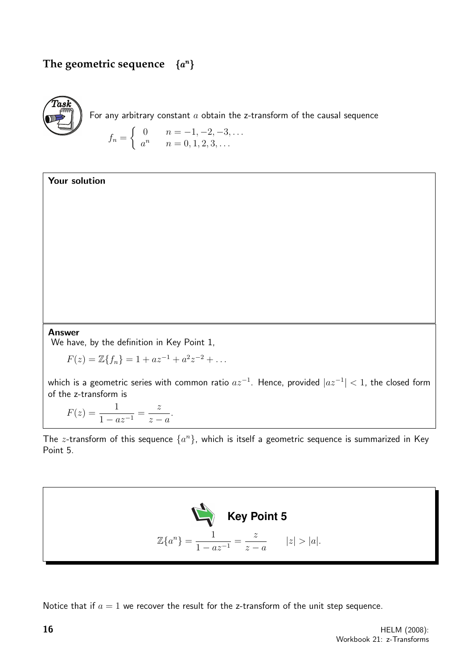#### **The geometric sequence**  $\{a^n\}$



For any arbitrary constant  $a$  obtain the z-transform of the causal sequence

$$
f_n = \begin{cases} 0 & n = -1, -2, -3, \dots \\ a^n & n = 0, 1, 2, 3, \dots \end{cases}
$$

Your solution

#### Answer

We have, by the definition in Key Point 1,

 $F(z) = \mathbb{Z}{f_n} = 1 + az^{-1} + a^2z^{-2} + \dots$ 

which is a geometric series with common ratio  $az^{-1}$ . Hence, provided  $|az^{-1}| < 1$ , the closed form of the z-transform is

$$
F(z) = \frac{1}{1 - az^{-1}} = \frac{z}{z - a}.
$$

The z-transform of this sequence  $\{a^n\}$ , which is itself a geometric sequence is summarized in Key Point 5.



Notice that if  $a = 1$  we recover the result for the z-transform of the unit step sequence.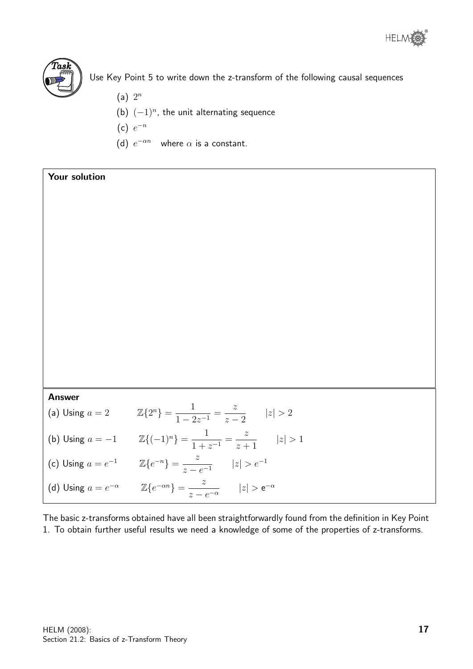



Use Key Point 5 to write down the z-transform of the following causal sequences

- $(a)$   $2^n$
- (b)  $(-1)^n$ , the unit alternating sequence
- $(c) e^{-n}$
- (d)  $e^{-\alpha n}$  where  $\alpha$  is a constant.

Your solution

Answer

(a) Using  $a = 2$   $\mathbb{Z}{2^n} = \frac{1}{1-c}$  $\frac{1}{1-2z^{-1}} =$ z  $z - 2$  $|z| > 2$ (b) Using  $a = -1$   $\mathbb{Z}\{(-1)^n\} = \frac{1}{1+r}$  $\frac{1}{1+z^{-1}} =$ z  $z+1$  $|z| > 1$ 

(c) Using  $a = e^{-1}$   $\mathbb{Z}\{e^{-n}\} = \frac{z}{\sqrt{2\pi}}$  $\frac{z}{z - e^{-1}}$   $|z| > e^{-1}$ (d) Using  $a = e^{-\alpha}$   $\mathbb{Z}\left\{e^{-\alpha n}\right\} = \frac{z}{\alpha}$  $\frac{z}{z - e^{-\alpha}}$   $|z| > e^{-\alpha}$ 

The basic z-transforms obtained have all been straightforwardly found from the definition in Key Point 1. To obtain further useful results we need a knowledge of some of the properties of z-transforms.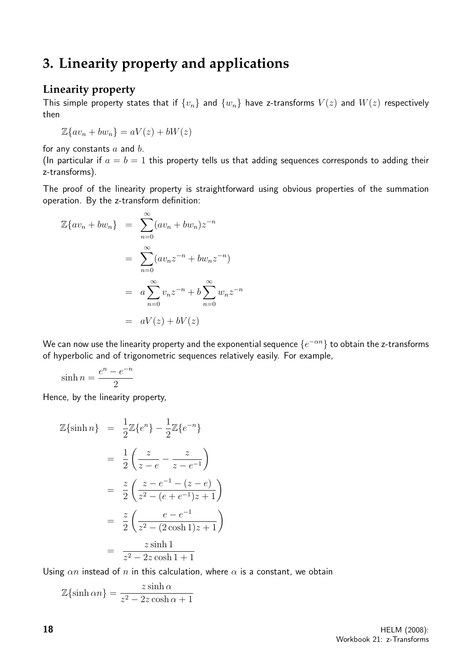# **3. Linearity property and applications**

#### **Linearity property**

This simple property states that if  $\{v_n\}$  and  $\{w_n\}$  have z-transforms  $V(z)$  and  $W(z)$  respectively then

 $\mathbb{Z}\{av_n + bw_n\} = aV(z) + bW(z)$ 

for any constants  $a$  and  $b$ .

(In particular if  $a = b = 1$  this property tells us that adding sequences corresponds to adding their z-transforms).

The proof of the linearity property is straightforward using obvious properties of the summation operation. By the z-transform definition:

$$
\mathbb{Z}\lbrace av_n + bw_n \rbrace = \sum_{n=0}^{\infty} (av_n + bw_n) z^{-n}
$$

$$
= \sum_{n=0}^{\infty} (av_n z^{-n} + bw_n z^{-n})
$$

$$
= a \sum_{n=0}^{\infty} v_n z^{-n} + b \sum_{n=0}^{\infty} w_n z^{-n}
$$

$$
= aV(z) + bV(z)
$$

We can now use the linearity property and the exponential sequence  $\{e^{-\alpha n}\}$  to obtain the z-transforms of hyperbolic and of trigonometric sequences relatively easily. For example,

$$
\sinh n = \frac{e^n - e^{-n}}{2}
$$

Hence, by the linearity property,

$$
\mathbb{Z}\{\sinh n\} = \frac{1}{2}\mathbb{Z}\{e^{n}\} - \frac{1}{2}\mathbb{Z}\{e^{-n}\}\
$$

$$
= \frac{1}{2}\left(\frac{z}{z-e} - \frac{z}{z-e^{-1}}\right)
$$

$$
= \frac{z}{2}\left(\frac{z-e^{-1} - (z-e)}{z^{2} - (e+e^{-1})z+1}\right)
$$

$$
= \frac{z}{2}\left(\frac{e-e^{-1}}{z^{2} - (2\cosh 1)z+1}\right)
$$

$$
= \frac{z\sinh 1}{z^{2} - 2z\cosh 1+1}
$$

Using  $\alpha n$  instead of n in this calculation, where  $\alpha$  is a constant, we obtain

$$
\mathbb{Z}\{\sinh \alpha n\} = \frac{z \sinh \alpha}{z^2 - 2z \cosh \alpha + 1}
$$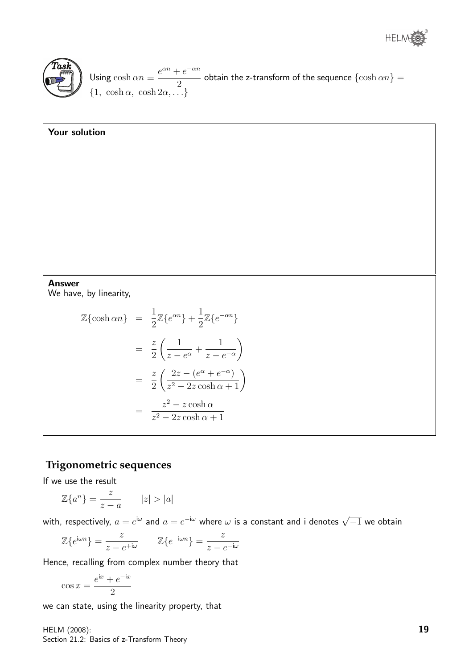



Using  $\cosh \alpha n \equiv \frac{e^{\alpha n} + e^{-\alpha n}}{2}$ 2 obtain the z-transform of the sequence  $\{\cosh \alpha n\} =$  $\{1, \cosh \alpha, \cosh 2\alpha, \ldots\}$ 

#### Your solution

#### Answer

We have, by linearity,

$$
\mathbb{Z}\{\cosh \alpha n\} = \frac{1}{2}\mathbb{Z}\{e^{\alpha n}\} + \frac{1}{2}\mathbb{Z}\{e^{-\alpha n}\}\
$$

$$
= \frac{z}{2}\left(\frac{1}{z - e^{\alpha}} + \frac{1}{z - e^{-\alpha}}\right)
$$

$$
= \frac{z}{2}\left(\frac{2z - (e^{\alpha} + e^{-\alpha})}{z^2 - 2z\cosh \alpha + 1}\right)
$$

$$
= \frac{z^2 - z\cosh \alpha}{z^2 - 2z\cosh \alpha + 1}
$$

#### **Trigonometric sequences**

If we use the result

$$
\mathbb{Z}\{a^n\} = \frac{z}{z-a} \qquad |z| > |a|
$$

with, respectively,  $a=e^{\mathrm{i}\omega}$  and  $a=e^{-\mathrm{i}\omega}$  where  $\omega$  is a constant and i denotes  $\sqrt{-1}$  we obtain

$$
\mathbb{Z}\{e^{i\omega n}\} = \frac{z}{z - e^{+i\omega}} \qquad \mathbb{Z}\{e^{-i\omega n}\} = \frac{z}{z - e^{-i\omega}}
$$

Hence, recalling from complex number theory that

$$
\cos x = \frac{e^{ix} + e^{-ix}}{2}
$$

we can state, using the linearity property, that

HELM (2008): Section 21.2: Basics of z-Transform Theory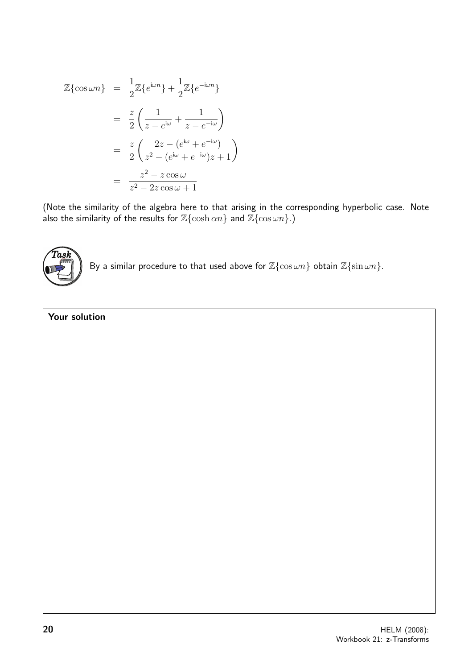$$
\mathbb{Z}\{\cos \omega n\} = \frac{1}{2}\mathbb{Z}\{e^{i\omega n}\} + \frac{1}{2}\mathbb{Z}\{e^{-i\omega n}\}\
$$

$$
= \frac{z}{2}\left(\frac{1}{z - e^{i\omega}} + \frac{1}{z - e^{-i\omega}}\right)
$$

$$
= \frac{z}{2}\left(\frac{2z - (e^{i\omega} + e^{-i\omega})}{z^2 - (e^{i\omega} + e^{-i\omega})z + 1}\right)
$$

$$
= \frac{z^2 - z\cos \omega}{z^2 - 2z\cos \omega + 1}
$$

(Note the similarity of the algebra here to that arising in the corresponding hyperbolic case. Note also the similarity of the results for  $\mathbb{Z}\{\cosh \alpha n\}$  and  $\mathbb{Z}\{\cos \omega n\}$ .)



By a similar procedure to that used above for  $\mathbb{Z}\{\cos \omega n\}$  obtain  $\mathbb{Z}\{\sin \omega n\}$ .

#### Your solution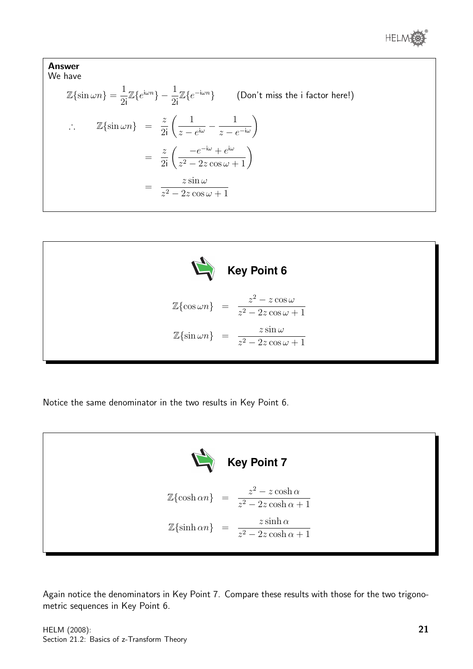

Answer  
\nWe have  
\n
$$
\mathbb{Z}\{\sin \omega n\} = \frac{1}{2i}\mathbb{Z}\{e^{i\omega n}\} - \frac{1}{2i}\mathbb{Z}\{e^{-i\omega n}\}
$$
\n(Don't miss the i factor here!)  
\n
$$
\therefore \quad \mathbb{Z}\{\sin \omega n\} = \frac{z}{2i} \left( \frac{1}{z - e^{i\omega}} - \frac{1}{z - e^{-i\omega}} \right)
$$
\n
$$
= \frac{z}{2i} \left( \frac{-e^{-i\omega} + e^{i\omega}}{z^2 - 2z \cos \omega + 1} \right)
$$
\n
$$
= \frac{z \sin \omega}{z^2 - 2z \cos \omega + 1}
$$



Notice the same denominator in the two results in Key Point 6.



Again notice the denominators in Key Point 7. Compare these results with those for the two trigonometric sequences in Key Point 6.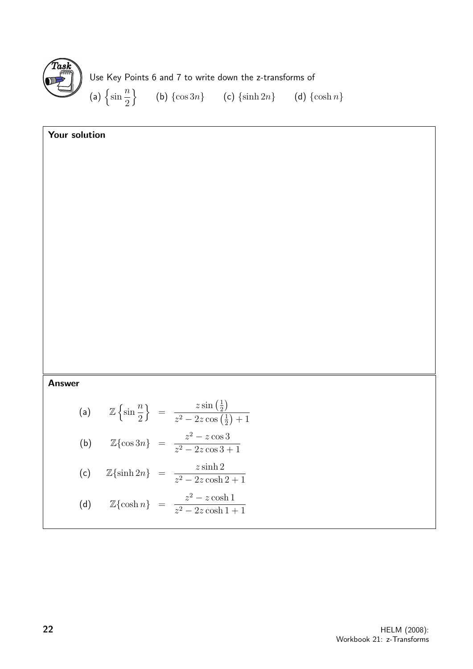

| Your solution |  |  |  |                                                                                                                                                                                                                      |  |  |
|---------------|--|--|--|----------------------------------------------------------------------------------------------------------------------------------------------------------------------------------------------------------------------|--|--|
|               |  |  |  |                                                                                                                                                                                                                      |  |  |
|               |  |  |  |                                                                                                                                                                                                                      |  |  |
|               |  |  |  |                                                                                                                                                                                                                      |  |  |
|               |  |  |  |                                                                                                                                                                                                                      |  |  |
|               |  |  |  |                                                                                                                                                                                                                      |  |  |
|               |  |  |  |                                                                                                                                                                                                                      |  |  |
|               |  |  |  |                                                                                                                                                                                                                      |  |  |
|               |  |  |  |                                                                                                                                                                                                                      |  |  |
|               |  |  |  |                                                                                                                                                                                                                      |  |  |
|               |  |  |  |                                                                                                                                                                                                                      |  |  |
|               |  |  |  |                                                                                                                                                                                                                      |  |  |
| <b>Answer</b> |  |  |  |                                                                                                                                                                                                                      |  |  |
|               |  |  |  |                                                                                                                                                                                                                      |  |  |
|               |  |  |  |                                                                                                                                                                                                                      |  |  |
|               |  |  |  | (a) $\mathbb{Z}\left\{\sin\frac{n}{2}\right\} = \frac{z\sin\left(\frac{1}{2}\right)}{z^2 - 2z\cos\left(\frac{1}{2}\right) + 1}$<br>(b) $\mathbb{Z}\left\{\cos 3n\right\} = \frac{z^2 - z\cos 3}{z^2 - 2z\cos 3 + 1}$ |  |  |
|               |  |  |  | (c) $\mathbb{Z}\{\sinh 2n\} = \frac{z \sinh 2}{z^2 - 2z \cosh 2 + 1}$                                                                                                                                                |  |  |
|               |  |  |  | (d) $\mathbb{Z}\{\cosh n\} = \frac{z^2 - z \cosh 1}{z^2 - 2z \cosh 1 + 1}$                                                                                                                                           |  |  |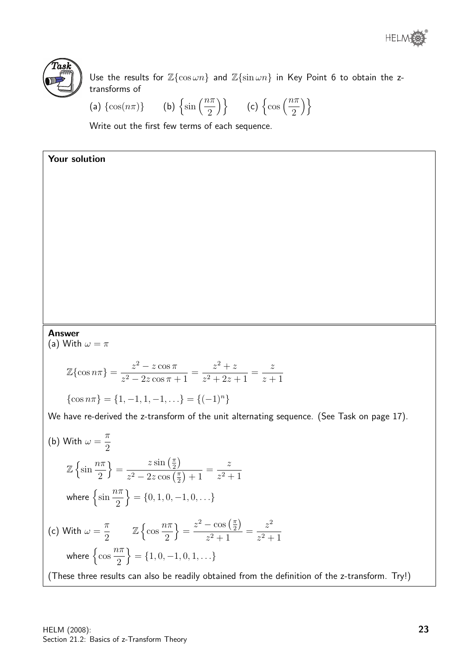



Your solution

Use the results for  $\mathbb{Z}\{\cos \omega n\}$  and  $\mathbb{Z}\{\sin \omega n\}$  in Key Point 6 to obtain the ztransforms of

(a)  $\{\cos(n\pi)\}\$  $\sin\left(\frac{n\pi}{2}\right)$ 2  $\{\cos\left(\frac{n\pi}{2}\right)\}$ 2  $\setminus$ 

Write out the first few terms of each sequence.

Answer

(a) With  $\omega = \pi$ 

$$
\mathbb{Z}\{\cos n\pi\} = \frac{z^2 - z\cos\pi}{z^2 - 2z\cos\pi + 1} = \frac{z^2 + z}{z^2 + 2z + 1} = \frac{z}{z+1}
$$

$$
\{\cos n\pi\} = \{1, -1, 1, -1, \ldots\} = \{(-1)^n\}
$$

We have re-derived the z-transform of the unit alternating sequence. (See Task on page 17).

(b) With 
$$
\omega = \frac{\pi}{2}
$$
  
\n
$$
\mathbb{Z}\left\{\sin\frac{n\pi}{2}\right\} = \frac{z\sin\left(\frac{\pi}{2}\right)}{z^2 - 2z\cos\left(\frac{\pi}{2}\right) + 1} = \frac{z}{z^2 + 1}
$$
\nwhere  $\left\{\sin\frac{n\pi}{2}\right\} = \{0, 1, 0, -1, 0, ...\}$   
\n(c) With  $\omega = \frac{\pi}{2}$   $\mathbb{Z}\left\{\cos\frac{n\pi}{2}\right\} = \frac{z^2 - \cos\left(\frac{\pi}{2}\right)}{z^2 + 1} = \frac{z^2}{z^2 + 1}$   
\nwhere  $\left\{\cos\frac{n\pi}{2}\right\} = \{1, 0, -1, 0, 1, ...\}$   
\n(These three results can also be readily obtained from the definition of the z-transform. Try!)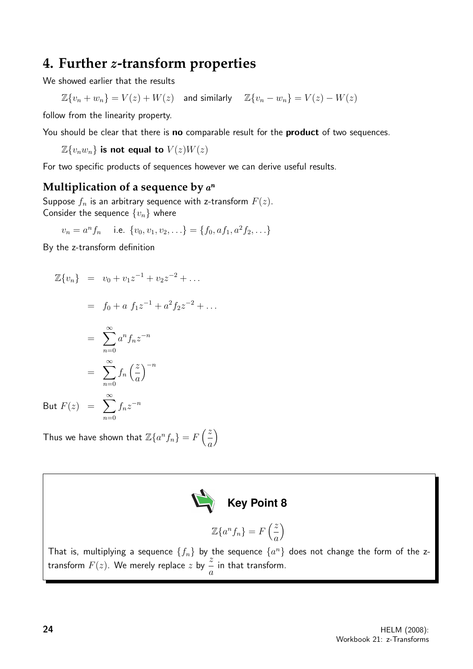# **4. Further** z**-transform properties**

We showed earlier that the results

 $\mathbb{Z}{v_n + w_n} = V(z) + W(z)$  and similarly  $\mathbb{Z}{v_n - w_n} = V(z) - W(z)$ 

follow from the linearity property.

You should be clear that there is no comparable result for the product of two sequences.

 $\mathbb{Z}{v_n w_n}$  is not equal to  $V(z)W(z)$ 

For two specific products of sequences however we can derive useful results.

### **Multiplication of a sequence by** a n

Suppose  $f_n$  is an arbitrary sequence with z-transform  $F(z)$ . Consider the sequence  $\{v_n\}$  where

$$
v_n = a^n f_n
$$
 i.e.  $\{v_0, v_1, v_2, \ldots\} = \{f_0, af_1, a^2 f_2, \ldots\}$ 

By the z-transform definition

$$
\mathbb{Z}{v_n} = v_0 + v_1 z^{-1} + v_2 z^{-2} + \dots
$$

$$
= f_0 + a f_1 z^{-1} + a^2 f_2 z^{-2} + \dots
$$

$$
= \sum_{n=0}^{\infty} a^n f_n z^{-n}
$$

$$
= \sum_{n=0}^{\infty} f_n \left(\frac{z}{a}\right)^{-n}
$$

$$
But F(z) = \sum_{n=0}^{\infty} f_n z^{-n}
$$

Thus we have shown that  $\mathbb{Z}\{a^n f_n\} = F\left(\frac{z}{z}\right)$ a



 $\setminus$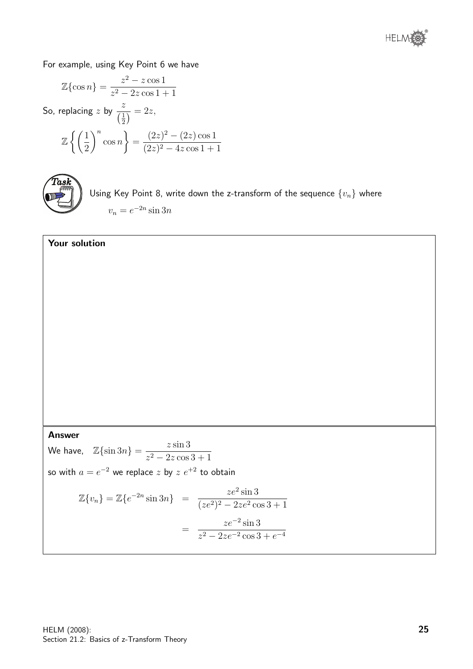

For example, using Key Point 6 we have

$$
\mathbb{Z}\{\cos n\} = \frac{z^2 - z\cos 1}{z^2 - 2z\cos 1 + 1}
$$
  
So, replacing  $z$  by  $\frac{z}{\left(\frac{1}{2}\right)} = 2z$ ,  

$$
\mathbb{Z}\left\{\left(\frac{1}{2}\right)^n \cos n\right\} = \frac{(2z)^2 - (2z)\cos 1}{(2z)^2 - 4z\cos 1 + 1}
$$



Using Key Point 8, write down the z-transform of the sequence  $\{v_n\}$  where  $v_n = e^{-2n} \sin 3n$ 

# Your solution Answer We have,  $\mathbb{Z}\{\sin 3n\} = \frac{z \sin 3n}{2}$  $z^2 - 2z \cos 3 + 1$ so with  $a=e^{-2}$  we replace  $z$  by  $z\;e^{+2}$  to obtain  $\mathbb{Z}\{v_n\} = \mathbb{Z}\{e^{-2n}\sin 3n\} =$  $ze^2\sin 3$  $(ze^2)^2 - 2ze^2 \cos 3 + 1$ =  $ze^{-2}$  sin 3  $z^2 - 2ze^{-2}\cos 3 + e^{-4}$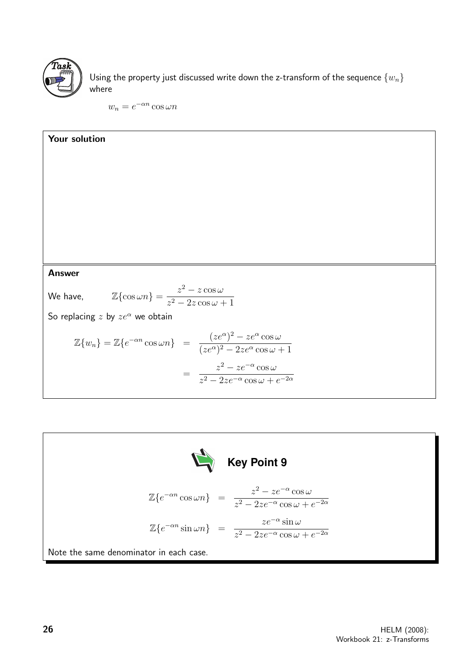

Using the property just discussed write down the z-transform of the sequence  $\{w_n\}$ where

 $w_n = e^{-\alpha n} \cos \omega n$ 



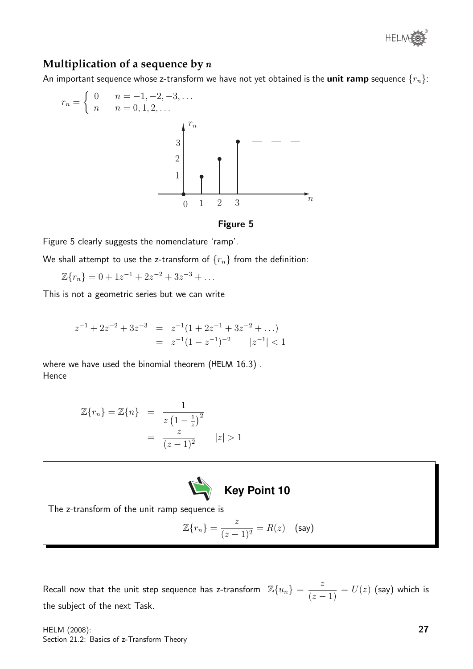

#### **Multiplication of a sequence by** n

An important sequence whose z-transform we have not yet obtained is the **unit ramp** sequence  $\{r_n\}$ :

$$
r_n = \begin{cases} 0 & n = -1, -2, -3, \dots \\ n & n = 0, 1, 2, \dots \end{cases}
$$



Figure 5 clearly suggests the nomenclature 'ramp'.

We shall attempt to use the z-transform of  $\{r_n\}$  from the definition:

 $\mathbb{Z}{r_n} = 0 + 1z^{-1} + 2z^{-2} + 3z^{-3} + \dots$ 

This is not a geometric series but we can write

$$
z^{-1} + 2z^{-2} + 3z^{-3} = z^{-1}(1 + 2z^{-1} + 3z^{-2} + \ldots)
$$
  
= 
$$
z^{-1}(1 - z^{-1})^{-2} \qquad |z^{-1}| < 1
$$

where we have used the binomial theorem ( $HELM$  16.3). Hence

$$
\mathbb{Z}{r_n} = \mathbb{Z}{n} = \frac{1}{z(1 - \frac{1}{z})^2} = \frac{z}{(z - 1)^2} \qquad |z| > 1
$$



The z-transform of the unit ramp sequence is

$$
\mathbb{Z}\{r_n\} = \frac{z}{(z-1)^2} = R(z) \quad \text{(say)}
$$

Recall now that the unit step sequence has z-transform  $\mathbb{Z}\{u_n\} = \frac{z}{\sqrt{n}}$  $\frac{z}{(z-1)} = U(z)$  (say) which is the subject of the next Task.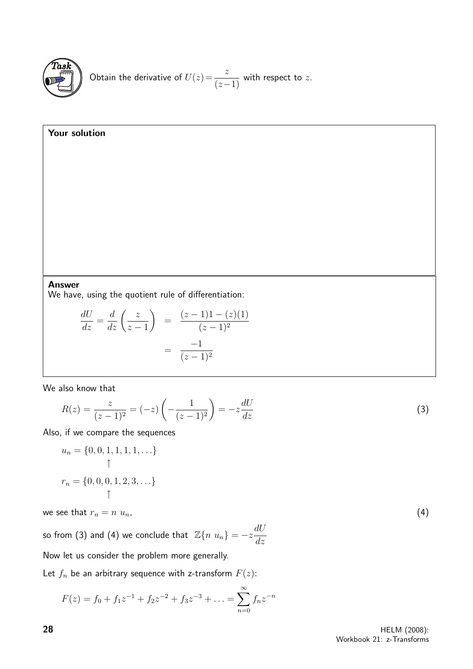

Obtain the derivative of 
$$
U(z) = \frac{z}{(z-1)}
$$
 with respect to z.

Your solution

Answer

We have, using the quotient rule of differentiation:

$$
\frac{dU}{dz} = \frac{d}{dz} \left( \frac{z}{z-1} \right) = \frac{(z-1)1 - (z)(1)}{(z-1)^2} = \frac{-1}{(z-1)^2}
$$

We also know that

$$
R(z) = \frac{z}{(z-1)^2} = (-z) \left( -\frac{1}{(z-1)^2} \right) = -z \frac{dU}{dz}
$$
 (3)

Also, if we compare the sequences

$$
u_n = \{0, 0, 1, 1, 1, 1, \ldots\}
$$
  
\n
$$
\uparrow
$$
  
\n
$$
r_n = \{0, 0, 0, 1, 2, 3, \ldots\}
$$

we see that  $r_n = n u_n$ , (4)

so from (3) and (4) we conclude that  $\mathbb{Z}\{n \ u_n\} = -z \frac{dU}{dx}$ dz Now let us consider the problem more generally.

Let  $f_n$  be an arbitrary sequence with z-transform  $F(z)$ :

$$
F(z) = f_0 + f_1 z^{-1} + f_2 z^{-2} + f_3 z^{-3} + \dots = \sum_{n=0}^{\infty} f_n z^{-n}
$$

**28** HELM (2008): Workbook 21: z-Transforms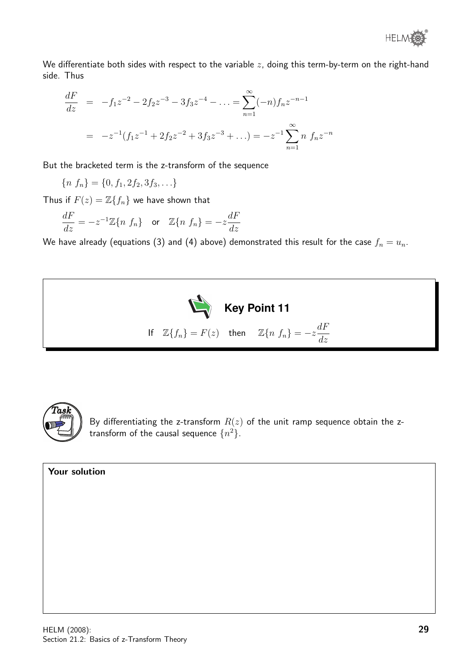We differentiate both sides with respect to the variable  $z$ , doing this term-by-term on the right-hand side. Thus

$$
\frac{dF}{dz} = -f_1 z^{-2} - 2f_2 z^{-3} - 3f_3 z^{-4} - \dots = \sum_{n=1}^{\infty} (-n) f_n z^{-n-1}
$$

$$
= -z^{-1} (f_1 z^{-1} + 2f_2 z^{-2} + 3f_3 z^{-3} + \dots) = -z^{-1} \sum_{n=1}^{\infty} n f_n z^{-n}
$$

But the bracketed term is the z-transform of the sequence

 ${n f<sub>n</sub>} = {0, f<sub>1</sub>, 2f<sub>2</sub>, 3f<sub>3</sub>, ...}$ 

Thus if  $F(z) = \mathbb{Z}{f_n}$  we have shown that

$$
\frac{dF}{dz}=-z^{-1}\mathbb{Z}\{n\,\,f_n\} \quad \text{or} \quad \mathbb{Z}\{n\,\,f_n\}=-z\frac{dF}{dz}
$$

We have already (equations (3) and (4) above) demonstrated this result for the case  $f_n = u_n$ .





By differentiating the z-transform  $R(z)$  of the unit ramp sequence obtain the ztransform of the causal sequence  $\{n^2\}.$ 

Your solution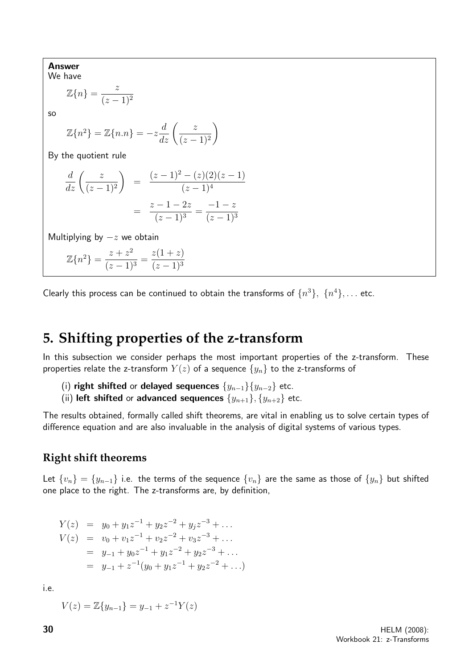Answer We have

$$
\mathbb{Z}{n} = \frac{z}{(z-1)^2}
$$

so

$$
\mathbb{Z}{n^2} = \mathbb{Z}{n.n} = -z\frac{d}{dz}\left(\frac{z}{(z-1)^2}\right)
$$

By the quotient rule

$$
\frac{d}{dz}\left(\frac{z}{(z-1)^2}\right) = \frac{(z-1)^2 - (z)(2)(z-1)}{(z-1)^4}
$$

$$
= \frac{z-1-2z}{(z-1)^3} = \frac{-1-z}{(z-1)^3}
$$

Multiplying by  $-z$  we obtain

$$
\mathbb{Z}{n^2} = \frac{z+z^2}{(z-1)^3} = \frac{z(1+z)}{(z-1)^3}
$$

Clearly this process can be continued to obtain the transforms of  $\{n^3\}$ ,  $\{n^4\}$ ,... etc.

# **5. Shifting properties of the z-transform**

In this subsection we consider perhaps the most important properties of the z-transform. These properties relate the z-transform  $Y(z)$  of a sequence  $\{y_n\}$  to the z-transforms of

- (i) right shifted or delayed sequences  $\{y_{n-1}\}\{y_{n-2}\}$  etc.
- (ii) left shifted or advanced sequences  $\{y_{n+1}\}, \{y_{n+2}\}$  etc.

The results obtained, formally called shift theorems, are vital in enabling us to solve certain types of difference equation and are also invaluable in the analysis of digital systems of various types.

#### **Right shift theorems**

Let  $\{v_n\} = \{y_{n-1}\}$  i.e. the terms of the sequence  $\{v_n\}$  are the same as those of  $\{y_n\}$  but shifted one place to the right. The z-transforms are, by definition,

$$
Y(z) = y_0 + y_1 z^{-1} + y_2 z^{-2} + y_j z^{-3} + \dots
$$
  
\n
$$
V(z) = v_0 + v_1 z^{-1} + v_2 z^{-2} + v_3 z^{-3} + \dots
$$
  
\n
$$
= y_{-1} + y_0 z^{-1} + y_1 z^{-2} + y_2 z^{-3} + \dots
$$
  
\n
$$
= y_{-1} + z^{-1} (y_0 + y_1 z^{-1} + y_2 z^{-2} + \dots)
$$

i.e.

$$
V(z) = \mathbb{Z}\{y_{n-1}\} = y_{-1} + z^{-1}Y(z)
$$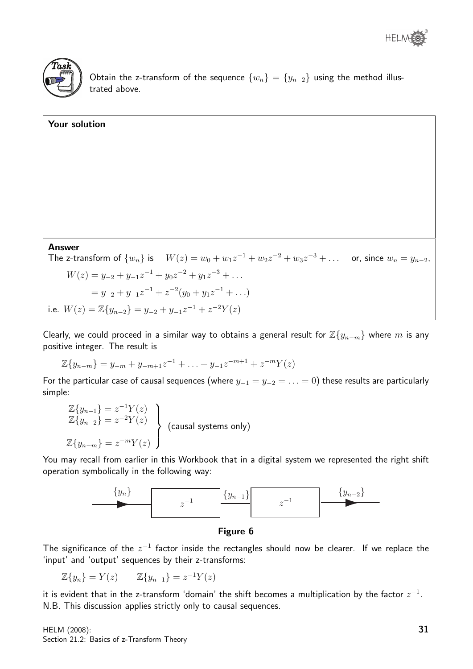



Obtain the z-transform of the sequence  $\{w_n\} = \{y_{n-2}\}$  using the method illustrated above.

| Your solution                                                                                                           |
|-------------------------------------------------------------------------------------------------------------------------|
|                                                                                                                         |
|                                                                                                                         |
|                                                                                                                         |
|                                                                                                                         |
|                                                                                                                         |
|                                                                                                                         |
| <b>Answer</b>                                                                                                           |
| The z-transform of $\{w_n\}$ is $W(z) = w_0 + w_1 z^{-1} + w_2 z^{-2} + w_3 z^{-3} + \dots$ or, since $w_n = y_{n-2}$ , |
| $W(z) = y_{-2} + y_{-1}z^{-1} + y_0z^{-2} + y_1z^{-3} + \dots$                                                          |
| $y_2 = y_{-2} + y_{-1}z^{-1} + z^{-2}(y_0 + y_1z^{-1} + \ldots)$                                                        |
| i.e. $W(z) = \mathbb{Z}{y_{n-2}} = y_{-2} + y_{-1}z^{-1} + z^{-2}Y(z)$                                                  |

Clearly, we could proceed in a similar way to obtains a general result for  $\mathbb{Z}\{y_{n-m}\}$  where  $m$  is any positive integer. The result is

$$
\mathbb{Z}{y_{n-m}} = y_{-m} + y_{-m+1}z^{-1} + \ldots + y_{-1}z^{-m+1} + z^{-m}Y(z)
$$

For the particular case of causal sequences (where  $y_{-1} = y_{-2} = \ldots = 0$ ) these results are particularly simple:

$$
\mathbb{Z}{y_{n-1}} = z^{-1}Y(z)
$$
  
\n
$$
\mathbb{Z}{y_{n-2}} = z^{-2}Y(z)
$$
  
\n
$$
\mathbb{Z}{y_{n-m}} = z^{-m}Y(z)
$$
 (causal systems only)

You may recall from earlier in this Workbook that in a digital system we represented the right shift operation symbolically in the following way:





The significance of the  $z^{-1}$  factor inside the rectangles should now be clearer. If we replace the 'input' and 'output' sequences by their z-transforms:

 $\mathbb{Z}{y_n} = Y(z)$   $\mathbb{Z}{y_{n-1}} = z^{-1}Y(z)$ 

it is evident that in the z-transform 'domain' the shift becomes a multiplication by the factor  $z^{-1}$ . N.B. This discussion applies strictly only to causal sequences.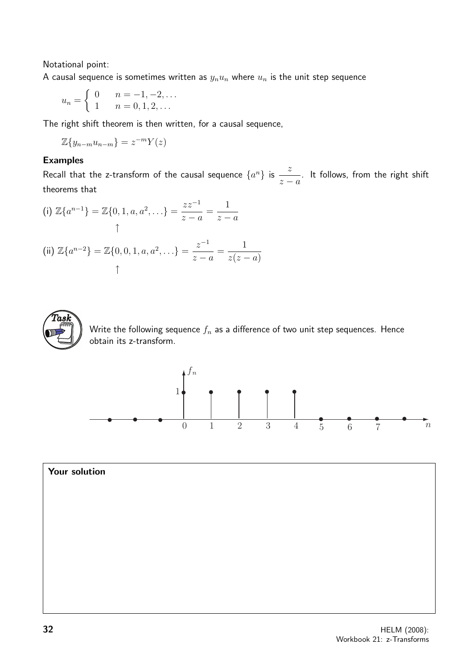Notational point:

A causal sequence is sometimes written as  $y_nu_n$  where  $u_n$  is the unit step sequence

$$
u_n = \begin{cases} 0 & n = -1, -2, \dots \\ 1 & n = 0, 1, 2, \dots \end{cases}
$$

The right shift theorem is then written, for a causal sequence,

$$
\mathbb{Z}\{y_{n-m}u_{n-m}\}=z^{-m}Y(z)
$$

#### Examples

Recall that the z-transform of the causal sequence  $\{a^n\}$  is  $\frac{z}{x}$  $z - a$ . It follows, from the right shift theorems that

(i) 
$$
\mathbb{Z}\{a^{n-1}\} = \mathbb{Z}\{0, 1, a, a^2, ...\} = \frac{zz^{-1}}{z-a} = \frac{1}{z-a}
$$
  
\n(ii)  $\mathbb{Z}\{a^{n-2}\} = \mathbb{Z}\{0, 0, 1, a, a^2, ...\} = \frac{z^{-1}}{z-a} = \frac{1}{z(z-a)}$ 



Write the following sequence  $f_n$  as a difference of two unit step sequences. Hence obtain its z-transform.



Your solution  
\n
$$
Y + Y = Y
$$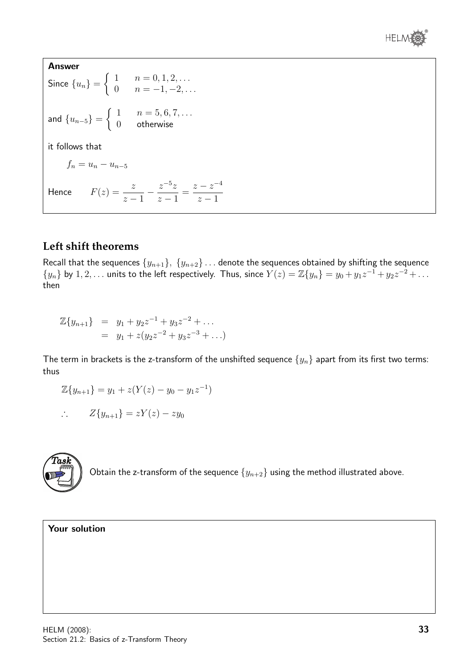

Answer Since  ${u_n}$  =  $\int 1 \quad n = 0, 1, 2, \ldots$ 0  $n = -1, -2, \ldots$ and  ${u_{n-5}}$  =  $\int 1 \quad n = 5, 6, 7, \ldots$ 0 otherwise it follows that  $f_n = u_n - u_{n-5}$ Hence  $F(z) = \frac{z}{z}$  $z - 1$  $-\frac{z^{-5}z}{1}$  $z - 1$ =  $z-z^{-4}$  $z - 1$ 

#### **Left shift theorems**

Recall that the sequences  $\{y_{n+1}\}, \{y_{n+2}\} \dots$  denote the sequences obtained by shifting the sequence  $\{y_n\}$  by  $1, 2, \ldots$  units to the left respectively. Thus, since  $Y(z) = \mathbb{Z}\{y_n\} = y_0 + y_1 z^{-1} + y_2 z^{-2} + \ldots$ then

$$
\mathbb{Z}{y_{n+1}} = y_1 + y_2 z^{-1} + y_3 z^{-2} + \dots
$$
  
=  $y_1 + z(y_2 z^{-2} + y_3 z^{-3} + \dots)$ 

The term in brackets is the z-transform of the unshifted sequence  $\{y_n\}$  apart from its first two terms: thus

$$
\mathbb{Z}{y_{n+1}} = y_1 + z(Y(z) - y_0 - y_1 z^{-1})
$$

$$
\therefore \qquad Z\{y_{n+1}\} = zY(z) - zy_0
$$



Obtain the z-transform of the sequence  $\{y_{n+2}\}$  using the method illustrated above.

#### Your solution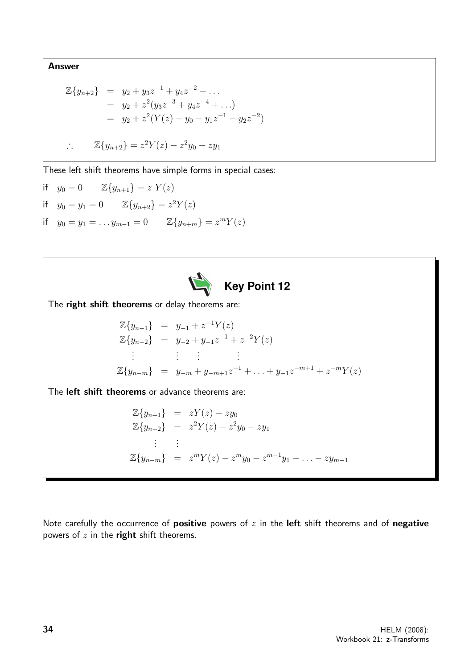Answer

$$
\mathbb{Z}{y_{n+2}} = y_2 + y_3 z^{-1} + y_4 z^{-2} + \dots
$$
  
\n
$$
= y_2 + z^2 (y_3 z^{-3} + y_4 z^{-4} + \dots)
$$
  
\n
$$
= y_2 + z^2 (Y(z) - y_0 - y_1 z^{-1} - y_2 z^{-2})
$$
  
\n
$$
\therefore \quad \mathbb{Z}{y_{n+2}} = z^2 Y(z) - z^2 y_0 - z y_1
$$

These left shift theorems have simple forms in special cases:

if 
$$
y_0 = 0
$$
  $\mathbb{Z}{y_{n+1}} = z Y(z)$   
\nif  $y_0 = y_1 = 0$   $\mathbb{Z}{y_{n+2}} = z^2 Y(z)$   
\nif  $y_0 = y_1 = \dots y_{m-1} = 0$   $\mathbb{Z}{y_{n+m}} = z^m Y(z)$ 



The right shift theorems or delay theorems are:

$$
\mathbb{Z}{y_{n-1}} = y_{-1} + z^{-1}Y(z)
$$
  
\n
$$
\mathbb{Z}{y_{n-2}} = y_{-2} + y_{-1}z^{-1} + z^{-2}Y(z)
$$
  
\n
$$
\vdots \qquad \vdots \qquad \vdots
$$
  
\n
$$
\mathbb{Z}{y_{n-m}} = y_{-m} + y_{-m+1}z^{-1} + \ldots + y_{-1}z^{-m+1} + z^{-m}Y(z)
$$

The left shift theorems or advance theorems are:

$$
\mathbb{Z}{y_{n+1}} = zY(z) - zy_0
$$
  
\n
$$
\mathbb{Z}{y_{n+2}} = z^2Y(z) - z^2y_0 - zy_1
$$
  
\n
$$
\vdots \qquad \vdots
$$
  
\n
$$
\mathbb{Z}{y_{n-m}} = z^mY(z) - z^m y_0 - z^{m-1}y_1 - \dots - zy_{m-1}
$$

Note carefully the occurrence of positive powers of  $z$  in the left shift theorems and of negative powers of  $z$  in the right shift theorems.